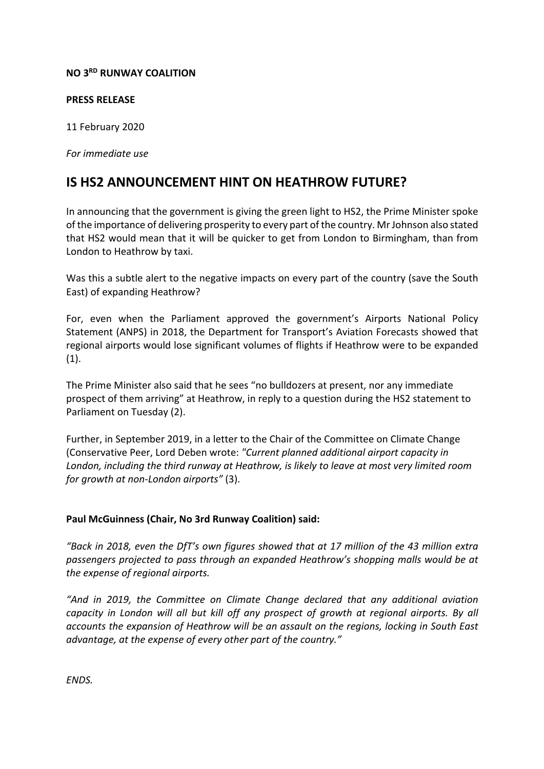## **NO 3RD RUNWAY COALITION**

## **PRESS RELEASE**

11 February 2020

*For immediate use*

## **IS HS2 ANNOUNCEMENT HINT ON HEATHROW FUTURE?**

In announcing that the government is giving the green light to HS2, the Prime Minister spoke of the importance of delivering prosperity to every part of the country. Mr Johnson also stated that HS2 would mean that it will be quicker to get from London to Birmingham, than from London to Heathrow by taxi.

Was this a subtle alert to the negative impacts on every part of the country (save the South East) of expanding Heathrow?

For, even when the Parliament approved the government's Airports National Policy Statement (ANPS) in 2018, the Department for Transport's Aviation Forecasts showed that regional airports would lose significant volumes of flights if Heathrow were to be expanded (1).

The Prime Minister also said that he sees "no bulldozers at present, nor any immediate prospect of them arriving" at Heathrow, in reply to a question during the HS2 statement to Parliament on Tuesday (2).

Further, in September 2019, in a letter to the Chair of the Committee on Climate Change (Conservative Peer, Lord Deben wrote: *"Current planned additional airport capacity in London, including the third runway at Heathrow, is likely to leave at most very limited room for growth at non-London airports"* (3).

## **Paul McGuinness (Chair, No 3rd Runway Coalition) said:**

*"Back in 2018, even the DfT's own figures showed that at 17 million of the 43 million extra passengers projected to pass through an expanded Heathrow's shopping malls would be at the expense of regional airports.*

*"And in 2019, the Committee on Climate Change declared that any additional aviation capacity in London will all but kill off any prospect of growth at regional airports. By all accounts the expansion of Heathrow will be an assault on the regions, locking in South East advantage, at the expense of every other part of the country."*

*ENDS.*